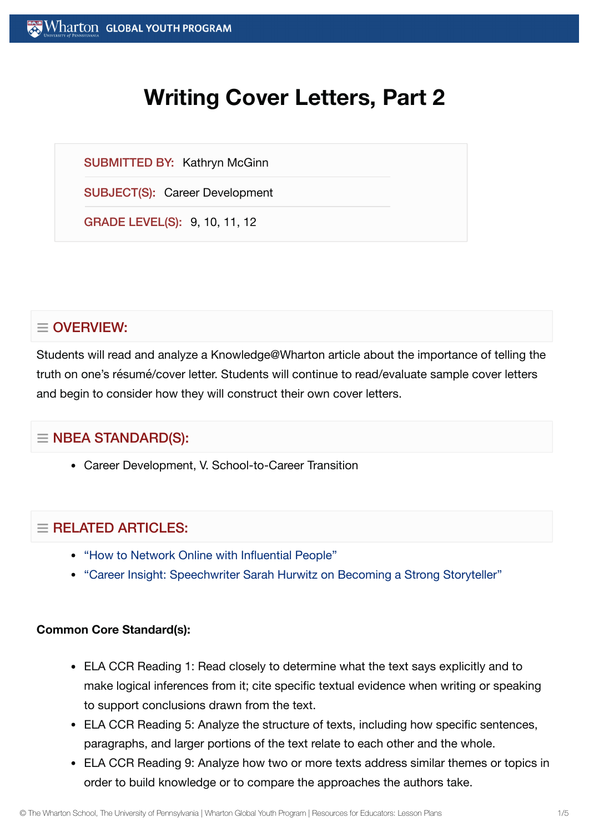# **Writing Cover Letters, Part 2**

SUBMITTED BY: Kathryn McGinn

SUBJECT(S): Career Development

GRADE LEVEL(S): 9, 10, 11, 12

# $\equiv$  OVERVIEW:

Students will read and analyze a Knowledge@Wharton article about the importance of telling the truth on one's résumé/cover letter. Students will continue to read/evaluate sample cover letters and begin to consider how they will construct their own cover letters.

## $\equiv$  NBEA STANDARD(S):

Career Development, V. School-to-Career Transition

## $=$  RFI ATED ARTICLES:

- "How to Network Online with [Influential](https://globalyouth.wharton.upenn.edu/articles/network-online-powerful-people/) People"
- "Career Insight: [Speechwriter](https://globalyouth.wharton.upenn.edu/articles/career-insight-white-house-speechwriter-sarah-hurwitz-becoming-strong-public-speaker-storyteller/) Sarah Hurwitz on Becoming a Strong Storyteller"

#### **Common Core Standard(s):**

- ELA CCR Reading 1: Read closely to determine what the text says explicitly and to make logical inferences from it; cite specific textual evidence when writing or speaking to support conclusions drawn from the text.
- ELA CCR Reading 5: Analyze the structure of texts, including how specific sentences, paragraphs, and larger portions of the text relate to each other and the whole.
- ELA CCR Reading 9: Analyze how two or more texts address similar themes or topics in order to build knowledge or to compare the approaches the authors take.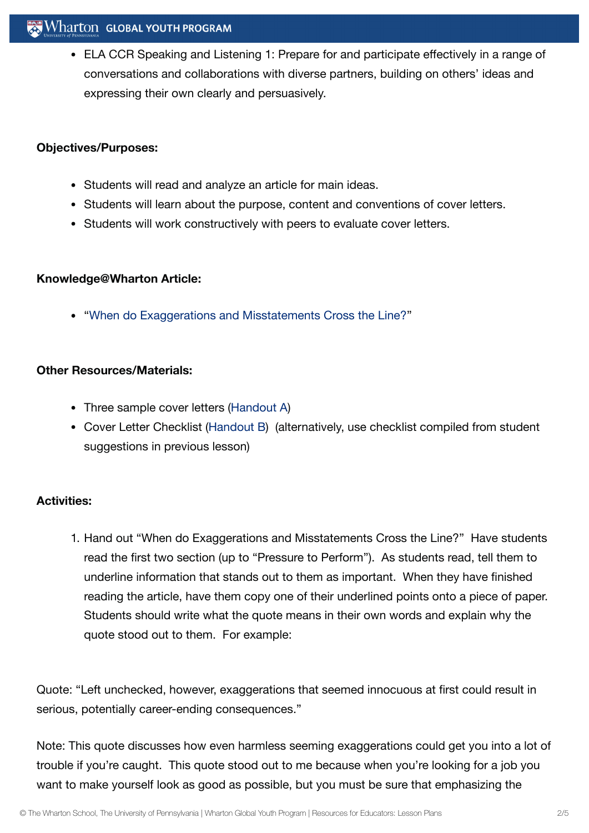#### $\mathbf{W}$  Wharton Global youth program

ELA CCR Speaking and Listening 1: Prepare for and participate effectively in a range of conversations and collaborations with diverse partners, building on others' ideas and expressing their own clearly and persuasively.

#### **Objectives/Purposes:**

- Students will read and analyze an article for main ideas.
- Students will learn about the purpose, content and conventions of cover letters.
- Students will work constructively with peers to evaluate cover letters.

#### **Knowledge@Wharton Article:**

"When do Exaggerations and [Misstatements Cross the](http://knowledge.wharton.upenn.edu/article.cfm?articleid=2522) Line?"

#### **Other Resources/Materials:**

- Three sample cover letters ([Handout](https://globalyouth.wharton.upenn.edu/wp-content/uploads/2012/01/Career-Development-5_School.handoutA.doc) A)
- Cover Letter Checklist ([Handout](https://globalyouth.wharton.upenn.edu/wp-content/uploads/2012/01/Career-Development-5_School.handoutB.pdf) B) (alternatively, use checklist compiled from student suggestions in previous lesson)

#### **Activities:**

1. Hand out "When do Exaggerations and Misstatements Cross the Line?" Have students read the first two section (up to "Pressure to Perform"). As students read, tell them to underline information that stands out to them as important. When they have finished reading the article, have them copy one of their underlined points onto a piece of paper. Students should write what the quote means in their own words and explain why the quote stood out to them. For example:

Quote: "Left unchecked, however, exaggerations that seemed innocuous at first could result in serious, potentially career-ending consequences."

Note: This quote discusses how even harmless seeming exaggerations could get you into a lot of trouble if you're caught. This quote stood out to me because when you're looking for a job you want to make yourself look as good as possible, but you must be sure that emphasizing the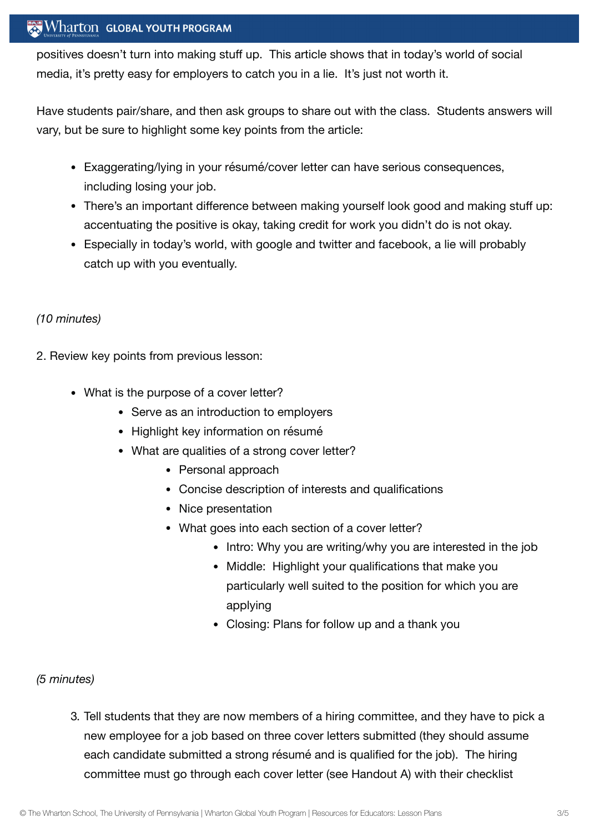#### Wharton GLOBAL YOUTH PROGRAM

positives doesn't turn into making stuff up. This article shows that in today's world of social media, it's pretty easy for employers to catch you in a lie. It's just not worth it.

Have students pair/share, and then ask groups to share out with the class. Students answers will vary, but be sure to highlight some key points from the article:

- Exaggerating/lying in your résumé/cover letter can have serious consequences, including losing your job.
- There's an important difference between making yourself look good and making stuff up: accentuating the positive is okay, taking credit for work you didn't do is not okay.
- Especially in today's world, with google and twitter and facebook, a lie will probably catch up with you eventually.

#### *(10 minutes)*

- 2. Review key points from previous lesson:
	- What is the purpose of a cover letter?
		- Serve as an introduction to employers
		- Highlight key information on résumé
		- What are qualities of a strong cover letter?
			- Personal approach
			- Concise description of interests and qualifications
			- Nice presentation
			- What goes into each section of a cover letter?
				- Intro: Why you are writing/why you are interested in the job
				- Middle: Highlight your qualifications that make you particularly well suited to the position for which you are applying
				- Closing: Plans for follow up and a thank you

#### *(5 minutes)*

3. Tell students that they are now members of a hiring committee, and they have to pick a new employee for a job based on three cover letters submitted (they should assume each candidate submitted a strong résumé and is qualified for the job). The hiring committee must go through each cover letter (see Handout A) with their checklist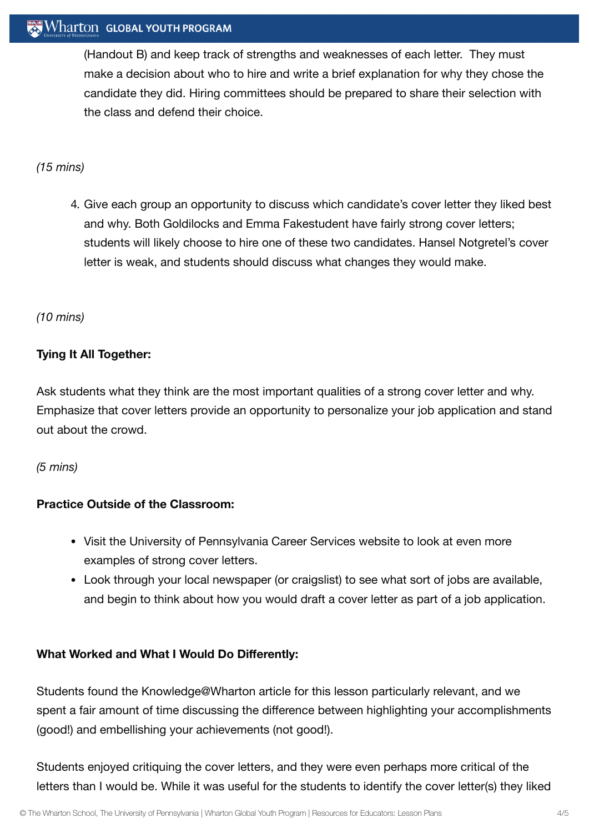#### Wharton GLOBAL YOUTH PROGRAM

(Handout B) and keep track of strengths and weaknesses of each letter. They must make a decision about who to hire and write a brief explanation for why they chose the candidate they did. Hiring committees should be prepared to share their selection with the class and defend their choice.

#### *(15 mins)*

4. Give each group an opportunity to discuss which candidate's cover letter they liked best and why. Both Goldilocks and Emma Fakestudent have fairly strong cover letters; students will likely choose to hire one of these two candidates. Hansel Notgretel's cover letter is weak, and students should discuss what changes they would make.

#### *(10 mins)*

#### **Tying It All Together:**

Ask students what they think are the most important qualities of a strong cover letter and why. Emphasize that cover letters provide an opportunity to personalize your job application and stand out about the crowd.

#### *(5 mins)*

#### **Practice Outside of the Classroom:**

- Visit the University of Pennsylvania Career Services website to look at even more examples of strong cover letters.
- Look through your local newspaper (or craigslist) to see what sort of jobs are available, and begin to think about how you would draft a cover letter as part of a job application.

#### **What Worked and What I Would Do Differently:**

Students found the Knowledge@Wharton article for this lesson particularly relevant, and we spent a fair amount of time discussing the difference between highlighting your accomplishments (good!) and embellishing your achievements (not good!).

Students enjoyed critiquing the cover letters, and they were even perhaps more critical of the letters than I would be. While it was useful for the students to identify the cover letter(s) they liked